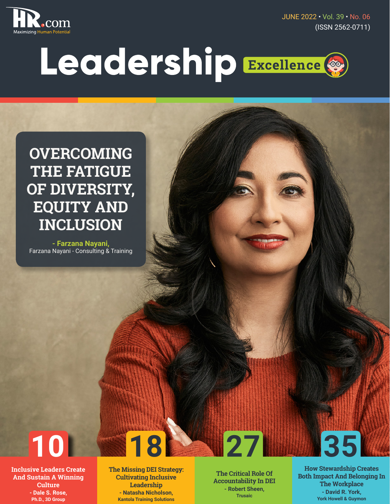

JUNE 2022 • Vol. 39 • No. 06 (ISSN 2562-0711)

# Leadership Excellence ®

**OVERCOMING THE FATIGUE OF DIVERSITY, EQUITY AND INCLUSION**

**- Farzana Nayani,**  Farzana Nayani - Consulting & Training



**Inclusive Leaders Create And Sustain A Winning Culture - Dale S. Rose, Ph.D., 3D Group**

**The Missing DEI Strategy: Cultivating Inclusive Leadership - Natasha Nicholson, Kantola Training Solutions**

**The Critical Role Of Accountability In DEI - Robert Sheen, Trusaic**

**How Stewardship Creates Both Impact And Belonging In The Workplace - David R. York, York Howell & Guymon**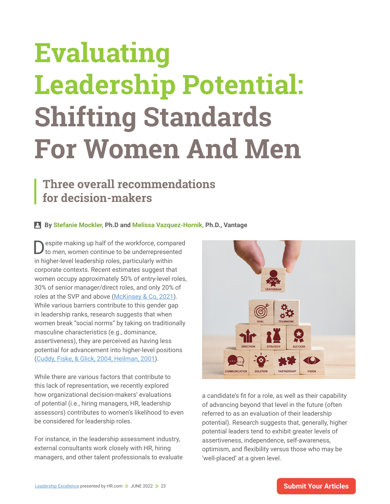## **Evaluating Leadership Potential: Shifting Standards For Women And Men**

### **Three overall recommendations for decision-makers**

#### **By Stefanie Mockler, Ph.D and Melissa Vazquez-Hornik, Ph.D., Vantage**

Despite making up half of the workforce, compared to men, women continue to be underrepresented in higher-level leadership roles, particularly within corporate contexts. Recent estimates suggest that women occupy approximately 50% of entry-level roles, 30% of senior manager/direct roles, and only 20% of roles at the SVP and above ([McKinsey & Co, 2021](https://www.mckinsey.com/featured-insights/diversity-and-inclusion/women-in-the-workplace)). While various barriers contribute to this gender gap in leadership ranks, research suggests that when women break "social norms" by taking on traditionally masculine characteristics (e.g., dominance, assertiveness), they are perceived as having less potential for advancement into higher-level positions [\(Cuddy, Fiske, & Glick, 2004; Heilman, 2001](https://www.google.com/url?sa=D&q=https://spssi.onlinelibrary.wiley.com/doi/abs/10.1111/0022-4537.00234%3Fcasa_token%3DsXteCsrJHgMAAAAA%253AUshN2C9P_vnUvRU74GZGyYLdTp5OrbDvmWhcZJqbYscwEM3bfbMYObx2v5hJTC-eC3F82UWsZ5sL209C&ust=1654179480000000&usg=AOvVaw1kvsO91XSYRImmxBSRXM7l&hl=en&source=gmail)).

While there are various factors that contribute to this lack of representation, we recently explored how organizational decision-makers' evaluations of potential (i.e., hiring managers, HR, leadership assessors) contributes to women's likelihood to even be considered for leadership roles.

For instance, in the leadership assessment industry, external consultants work closely with HR, hiring managers, and other talent professionals to evaluate



a candidate's fit for a role, as well as their capability of advancing beyond that level in the future (often referred to as an evaluation of their leadership potential). Research suggests that, generally, higher potential leaders tend to exhibit greater levels of assertiveness, independence, self-awareness, optimism, and flexibility versus those who may be 'well-placed' at a given level.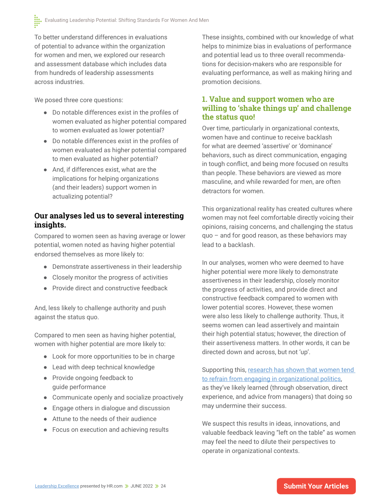To better understand differences in evaluations of potential to advance within the organization for women and men, we explored our research and assessment database which includes data from hundreds of leadership assessments across industries.

We posed three core questions:

- **●** Do notable differences exist in the profiles of women evaluated as higher potential compared to women evaluated as lower potential?
- **●** Do notable differences exist in the profiles of women evaluated as higher potential compared to men evaluated as higher potential?
- **●** And, if differences exist, what are the implications for helping organizations (and their leaders) support women in actualizing potential?

#### **Our analyses led us to several interesting insights.**

Compared to women seen as having average or lower potential, women noted as having higher potential endorsed themselves as more likely to:

- **●** Demonstrate assertiveness in their leadership
- **●** Closely monitor the progress of activities
- **●** Provide direct and constructive feedback

And, less likely to challenge authority and push against the status quo.

Compared to men seen as having higher potential, women with higher potential are more likely to:

- **●** Look for more opportunities to be in charge
- **●** Lead with deep technical knowledge
- **●** Provide ongoing feedback to guide performance
- **●** Communicate openly and socialize proactively
- **●** Engage others in dialogue and discussion
- **●** Attune to the needs of their audience
- **●** Focus on execution and achieving results

These insights, combined with our knowledge of what helps to minimize bias in evaluations of performance and potential lead us to three overall recommendations for decision-makers who are responsible for evaluating performance, as well as making hiring and promotion decisions.

#### **1. Value and support women who are willing to 'shake things up' and challenge the status quo!**

Over time, particularly in organizational contexts, women have and continue to receive backlash for what are deemed 'assertive' or 'dominance' behaviors, such as direct communication, engaging in tough conflict, and being more focused on results than people. These behaviors are viewed as more masculine, and while rewarded for men, are often detractors for women.

This organizational reality has created cultures where women may not feel comfortable directly voicing their opinions, raising concerns, and challenging the status quo – and for good reason, as these behaviors may lead to a backlash.

In our analyses, women who were deemed to have higher potential were more likely to demonstrate assertiveness in their leadership, closely monitor the progress of activities, and provide direct and constructive feedback compared to women with lower potential scores. However, these women were also less likely to challenge authority. Thus, it seems women can lead assertively and maintain their high potential status; however, the direction of their assertiveness matters. In other words, it can be directed down and across, but not 'up'.

Supporting this, research has shown that women tend [to refrain from engaging in organizational politics](https://hbr.org/2017/12/3-simple-ways-for-women-to-rethink-office-politics-and-wield-more-influence-at-work), as they've likely learned (through observation, direct experience, and advice from managers) that doing so may undermine their success.

We suspect this results in ideas, innovations, and valuable feedback leaving "left on the table" as women may feel the need to dilute their perspectives to operate in organizational contexts.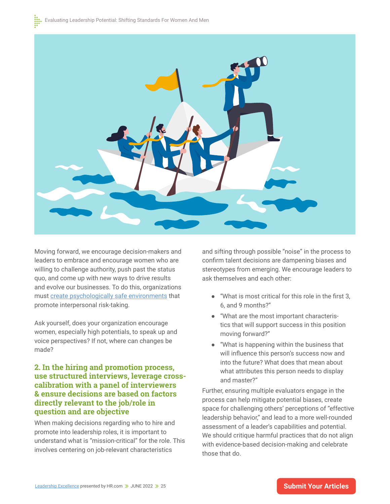

Moving forward, we encourage decision-makers and leaders to embrace and encourage women who are willing to challenge authority, push past the status quo, and come up with new ways to drive results and evolve our businesses. To do this, organizations must [create psychologically safe environments](https://hbr.org/2021/06/4-steps-to-boost-psychological-safety-at-your-workplace) that promote interpersonal risk-taking.

Ask yourself, does your organization encourage women, especially high potentials, to speak up and voice perspectives? If not, where can changes be made?

#### **2. In the hiring and promotion process, use structured interviews, leverage crosscalibration with a panel of interviewers & ensure decisions are based on factors directly relevant to the job/role in question and are objective**

When making decisions regarding who to hire and promote into leadership roles, it is important to understand what is "mission-critical" for the role. This involves centering on job-relevant characteristics

and sifting through possible "noise" in the process to confirm talent decisions are dampening biases and stereotypes from emerging. We encourage leaders to ask themselves and each other:

- **●** "What is most critical for this role in the first 3, 6, and 9 months?"
- **●** "What are the most important characteristics that will support success in this position moving forward?"
- **●** "What is happening within the business that will influence this person's success now and into the future? What does that mean about what attributes this person needs to display and master?"

Further, ensuring multiple evaluators engage in the process can help mitigate potential biases, create space for challenging others' perceptions of "effective leadership behavior," and lead to a more well-rounded assessment of a leader's capabilities and potential. We should critique harmful practices that do not align with evidence-based decision-making and celebrate those that do.